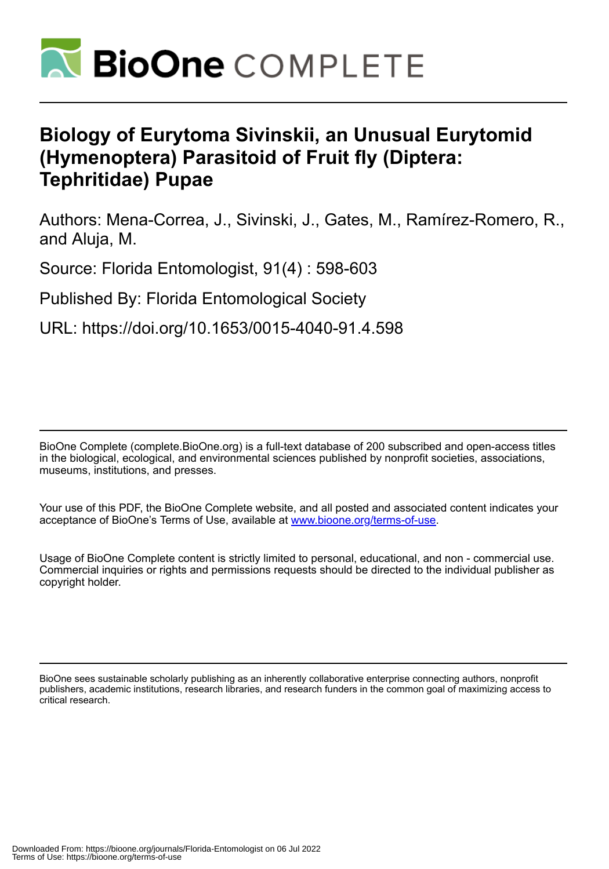

# **Biology of Eurytoma Sivinskii, an Unusual Eurytomid (Hymenoptera) Parasitoid of Fruit fly (Diptera: Tephritidae) Pupae**

Authors: Mena-Correa, J., Sivinski, J., Gates, M., Ramírez-Romero, R., and Aluja, M.

Source: Florida Entomologist, 91(4) : 598-603

Published By: Florida Entomological Society

URL: https://doi.org/10.1653/0015-4040-91.4.598

BioOne Complete (complete.BioOne.org) is a full-text database of 200 subscribed and open-access titles in the biological, ecological, and environmental sciences published by nonprofit societies, associations, museums, institutions, and presses.

Your use of this PDF, the BioOne Complete website, and all posted and associated content indicates your acceptance of BioOne's Terms of Use, available at www.bioone.org/terms-of-use.

Usage of BioOne Complete content is strictly limited to personal, educational, and non - commercial use. Commercial inquiries or rights and permissions requests should be directed to the individual publisher as copyright holder.

BioOne sees sustainable scholarly publishing as an inherently collaborative enterprise connecting authors, nonprofit publishers, academic institutions, research libraries, and research funders in the common goal of maximizing access to critical research.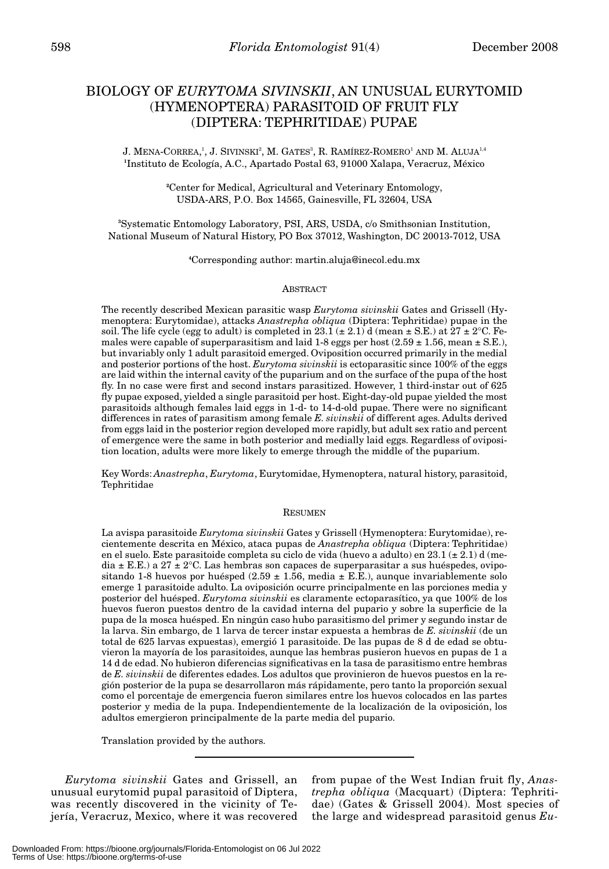# BIOLOGY OF *EURYTOMA SIVINSKII*, AN UNUSUAL EURYTOMID (HYMENOPTERA) PARASITOID OF FRUIT FLY (DIPTERA: TEPHRITIDAE) PUPAE

J. MENA-CORREA,<sup>1</sup>, J. SIVINSKI<sup>2</sup>, M. GATES<sup>3</sup>, R. RAMÍREZ-ROMERO<sup>1</sup> AND M. ALUJA<sup>1,4</sup> **1** Instituto de Ecología, A.C., Apartado Postal 63, 91000 Xalapa, Veracruz, México

> **2** Center for Medical, Agricultural and Veterinary Entomology, USDA-ARS, P.O. Box 14565, Gainesville, FL 32604, USA

**3** Systematic Entomology Laboratory, PSI, ARS, USDA, c/o Smithsonian Institution, National Museum of Natural History, PO Box 37012, Washington, DC 20013-7012, USA

**4** Corresponding author: martin.aluja@inecol.edu.mx

#### **ABSTRACT**

The recently described Mexican parasitic wasp *Eurytoma sivinskii* Gates and Grissell (Hymenoptera: Eurytomidae), attacks *Anastrepha obliqua* (Diptera: Tephritidae) pupae in the soil. The life cycle (egg to adult) is completed in 23.1 ( $\pm$  2.1) d (mean  $\pm$  S.E.) at 27  $\pm$  2°C. Females were capable of superparasitism and laid  $1-8$  eggs per host  $(2.59 \pm 1.56, \text{mean} \pm \text{S.E.}),$ but invariably only 1 adult parasitoid emerged. Oviposition occurred primarily in the medial and posterior portions of the host. *Eurytoma sivinskii* is ectoparasitic since 100% of the eggs are laid within the internal cavity of the puparium and on the surface of the pupa of the host fly. In no case were first and second instars parasitized. However, 1 third-instar out of 625 fly pupae exposed, yielded a single parasitoid per host. Eight-day-old pupae yielded the most parasitoids although females laid eggs in 1-d- to 14-d-old pupae. There were no significant differences in rates of parasitism among female *E. sivinskii* of different ages. Adults derived from eggs laid in the posterior region developed more rapidly, but adult sex ratio and percent of emergence were the same in both posterior and medially laid eggs. Regardless of oviposition location, adults were more likely to emerge through the middle of the puparium.

Key Words: *Anastrepha*, *Eurytoma*, Eurytomidae, Hymenoptera, natural history, parasitoid, Tephritidae

# RESUMEN

La avispa parasitoide *Eurytoma sivinskii* Gates y Grissell (Hymenoptera: Eurytomidae), recientemente descrita en México, ataca pupas de *Anastrepha obliqua* (Diptera: Tephritidae) en el suelo. Este parasitoide completa su ciclo de vida (huevo a adulto) en  $23.1 \pm 2.1$ ) d (media  $\pm$  E.E.) a 27  $\pm$  2°C. Las hembras son capaces de superparasitar a sus huéspedes, ovipositando 1-8 huevos por huésped  $(2.59 \pm 1.56)$ , media  $\pm$  E.E.), aunque invariablemente solo emerge 1 parasitoide adulto. La oviposición ocurre principalmente en las porciones media y posterior del huésped. *Eurytoma sivinskii* es claramente ectoparasítico, ya que 100% de los huevos fueron puestos dentro de la cavidad interna del pupario y sobre la superficie de la pupa de la mosca huésped. En ningún caso hubo parasitismo del primer y segundo instar de la larva. Sin embargo, de 1 larva de tercer instar expuesta a hembras de *E. sivinskii* (de un total de 625 larvas expuestas), emergió 1 parasitoide. De las pupas de 8 d de edad se obtuvieron la mayoría de los parasitoides, aunque las hembras pusieron huevos en pupas de 1 a 14 d de edad. No hubieron diferencias significativas en la tasa de parasitismo entre hembras de *E. sivinskii* de diferentes edades. Los adultos que provinieron de huevos puestos en la región posterior de la pupa se desarrollaron más rápidamente, pero tanto la proporción sexual como el porcentaje de emergencia fueron similares entre los huevos colocados en las partes posterior y media de la pupa. Independientemente de la localización de la oviposición, los adultos emergieron principalmente de la parte media del pupario.

Translation provided by the authors.

*Eurytoma sivinskii* Gates and Grissell, an unusual eurytomid pupal parasitoid of Diptera, was recently discovered in the vicinity of Tejería, Veracruz, Mexico, where it was recovered from pupae of the West Indian fruit fly, *Anastrepha obliqua* (Macquart) (Diptera: Tephritidae) (Gates & Grissell 2004). Most species of the large and widespread parasitoid genus *Eu-*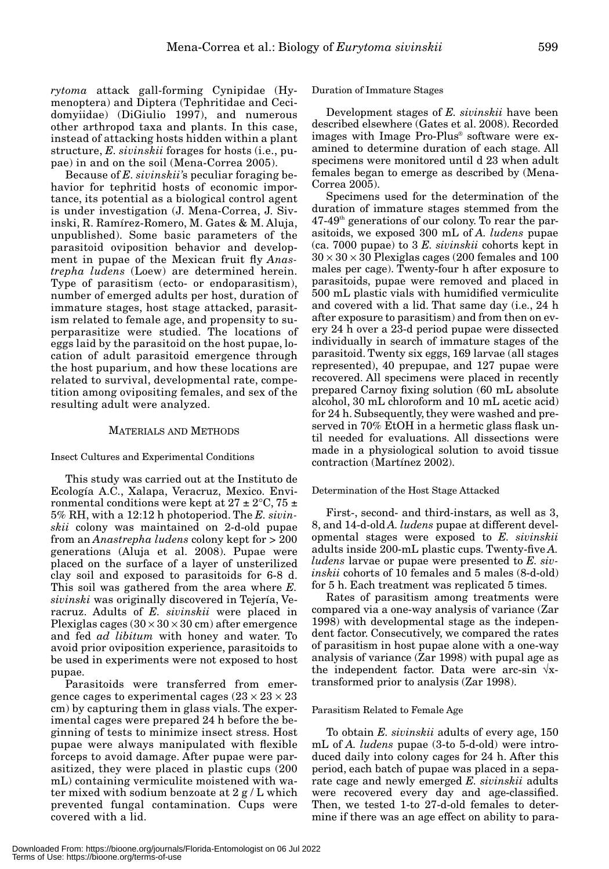*rytoma* attack gall-forming Cynipidae (Hymenoptera) and Diptera (Tephritidae and Cecidomyiidae) (DiGiulio 1997), and numerous other arthropod taxa and plants. In this case, instead of attacking hosts hidden within a plant structure, *E. sivinskii* forages for hosts (i.e., pupae) in and on the soil (Mena-Correa 2005).

Because of *E. sivinskii'*s peculiar foraging behavior for tephritid hosts of economic importance, its potential as a biological control agent is under investigation (J. Mena-Correa, J. Sivinski, R. Ramírez-Romero, M. Gates & M. Aluja, unpublished). Some basic parameters of the parasitoid oviposition behavior and development in pupae of the Mexican fruit fly *Anastrepha ludens* (Loew) are determined herein. Type of parasitism (ecto- or endoparasitism), number of emerged adults per host, duration of immature stages, host stage attacked, parasitism related to female age, and propensity to superparasitize were studied. The locations of eggs laid by the parasitoid on the host pupae, location of adult parasitoid emergence through the host puparium, and how these locations are related to survival, developmental rate, competition among ovipositing females, and sex of the resulting adult were analyzed.

## MATERIALS AND METHODS

## Insect Cultures and Experimental Conditions

This study was carried out at the Instituto de Ecología A.C., Xalapa, Veracruz, Mexico. Environmental conditions were kept at  $27 \pm 2$ °C,  $75 \pm 1$ 5% RH, with a 12:12 h photoperiod. The *E. sivinskii* colony was maintained on 2-d-old pupae from an *Anastrepha ludens* colony kept for > 200 generations (Aluja et al. 2008). Pupae were placed on the surface of a layer of unsterilized clay soil and exposed to parasitoids for 6-8 d. This soil was gathered from the area where *E. sivinski* was originally discovered in Tejería, Veracruz. Adults of *E. sivinskii* were placed in Plexiglas cages  $(30 \times 30 \times 30 \text{ cm})$  after emergence and fed *ad libitum* with honey and water. To avoid prior oviposition experience, parasitoids to be used in experiments were not exposed to host pupae.

Parasitoids were transferred from emergence cages to experimental cages  $(23 \times 23 \times 23)$ cm) by capturing them in glass vials. The experimental cages were prepared 24 h before the beginning of tests to minimize insect stress. Host pupae were always manipulated with flexible forceps to avoid damage. After pupae were parasitized, they were placed in plastic cups (200 mL) containing vermiculite moistened with water mixed with sodium benzoate at 2 g / L which prevented fungal contamination. Cups were covered with a lid.

Duration of Immature Stages

Development stages of *E. sivinskii* have been described elsewhere (Gates et al. 2008). Recorded images with Image Pro-Plus® software were examined to determine duration of each stage. All specimens were monitored until d 23 when adult females began to emerge as described by (Mena-Correa 2005).

Specimens used for the determination of the duration of immature stages stemmed from the  $47-49<sup>th</sup>$  generations of our colony. To rear the parasitoids, we exposed 300 mL of *A. ludens* pupae (ca. 7000 pupae) to 3 *E. sivinskii* cohorts kept in  $30 \times 30 \times 30$  Plexiglas cages (200 females and 100 males per cage). Twenty-four h after exposure to parasitoids, pupae were removed and placed in 500 mL plastic vials with humidified vermiculite and covered with a lid. That same day (i.e., 24 h after exposure to parasitism) and from then on every 24 h over a 23-d period pupae were dissected individually in search of immature stages of the parasitoid. Twenty six eggs, 169 larvae (all stages represented), 40 prepupae, and 127 pupae were recovered. All specimens were placed in recently prepared Carnoy fixing solution (60 mL absolute alcohol, 30 mL chloroform and 10 mL acetic acid) for 24 h. Subsequently, they were washed and preserved in 70% EtOH in a hermetic glass flask until needed for evaluations. All dissections were made in a physiological solution to avoid tissue contraction (Martínez 2002).

#### Determination of the Host Stage Attacked

First-, second- and third-instars, as well as 3, 8, and 14-d-old *A. ludens* pupae at different developmental stages were exposed to *E. sivinskii* adults inside 200-mL plastic cups. Twenty-five *A. ludens* larvae or pupae were presented to *E. sivinskii* cohorts of 10 females and 5 males (8-d-old) for 5 h. Each treatment was replicated 5 times.

Rates of parasitism among treatments were compared via a one-way analysis of variance (Zar 1998) with developmental stage as the independent factor. Consecutively, we compared the rates of parasitism in host pupae alone with a one-way analysis of variance (Zar 1998) with pupal age as the independent factor. Data were arc-sin  $\sqrt{x}$ transformed prior to analysis (Zar 1998).

#### Parasitism Related to Female Age

To obtain *E. sivinskii* adults of every age, 150 mL of *A. ludens* pupae (3-to 5-d-old) were introduced daily into colony cages for 24 h. After this period, each batch of pupae was placed in a separate cage and newly emerged *E. sivinskii* adults were recovered every day and age-classified. Then, we tested 1-to 27-d-old females to determine if there was an age effect on ability to para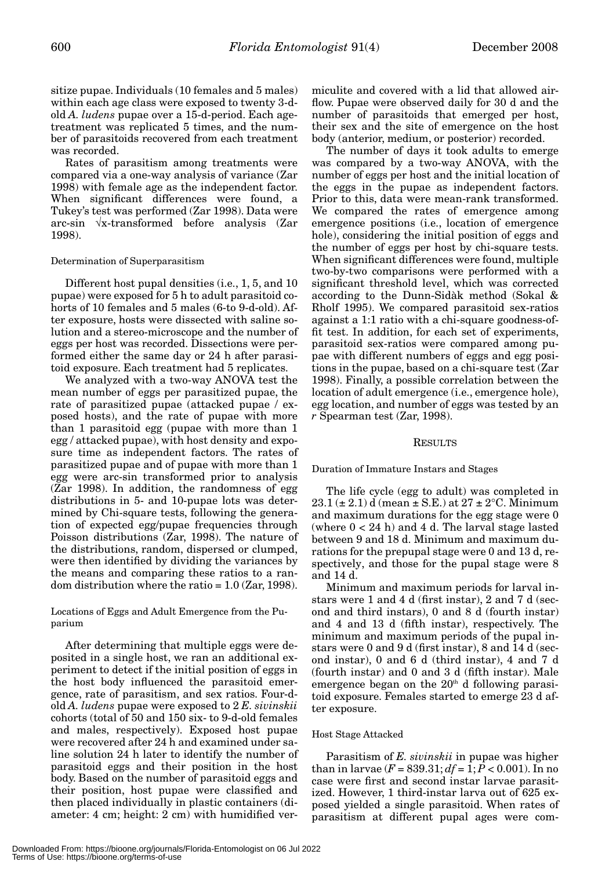sitize pupae. Individuals (10 females and 5 males) within each age class were exposed to twenty 3-dold *A. ludens* pupae over a 15-d-period. Each agetreatment was replicated 5 times, and the number of parasitoids recovered from each treatment was recorded.

Rates of parasitism among treatments were compared via a one-way analysis of variance (Zar 1998) with female age as the independent factor. When significant differences were found, a Tukey's test was performed (Zar 1998). Data were arc-sin √x-transformed before analysis (Zar 1998).

## Determination of Superparasitism

Different host pupal densities (i.e., 1, 5, and 10 pupae) were exposed for 5 h to adult parasitoid cohorts of 10 females and 5 males (6-to 9-d-old). After exposure, hosts were dissected with saline solution and a stereo-microscope and the number of eggs per host was recorded. Dissections were performed either the same day or 24 h after parasitoid exposure. Each treatment had 5 replicates.

We analyzed with a two-way ANOVA test the mean number of eggs per parasitized pupae, the rate of parasitized pupae (attacked pupae / exposed hosts), and the rate of pupae with more than 1 parasitoid egg (pupae with more than 1 egg / attacked pupae), with host density and exposure time as independent factors. The rates of parasitized pupae and of pupae with more than 1 egg were arc-sin transformed prior to analysis (Zar 1998). In addition, the randomness of egg distributions in 5- and 10-pupae lots was determined by Chi-square tests, following the generation of expected egg/pupae frequencies through Poisson distributions (Zar, 1998). The nature of the distributions, random, dispersed or clumped, were then identified by dividing the variances by the means and comparing these ratios to a random distribution where the ratio  $= 1.0$  (Zar, 1998).

Locations of Eggs and Adult Emergence from the Puparium

After determining that multiple eggs were deposited in a single host, we ran an additional experiment to detect if the initial position of eggs in the host body influenced the parasitoid emergence, rate of parasitism, and sex ratios. Four-dold *A. ludens* pupae were exposed to 2 *E. sivinskii* cohorts (total of 50 and 150 six- to 9-d-old females and males, respectively). Exposed host pupae were recovered after 24 h and examined under saline solution 24 h later to identify the number of parasitoid eggs and their position in the host body. Based on the number of parasitoid eggs and their position, host pupae were classified and then placed individually in plastic containers (diameter: 4 cm; height: 2 cm) with humidified vermiculite and covered with a lid that allowed airflow. Pupae were observed daily for 30 d and the number of parasitoids that emerged per host, their sex and the site of emergence on the host body (anterior, medium, or posterior) recorded.

The number of days it took adults to emerge was compared by a two-way ANOVA, with the number of eggs per host and the initial location of the eggs in the pupae as independent factors. Prior to this, data were mean-rank transformed. We compared the rates of emergence among emergence positions (i.e., location of emergence hole), considering the initial position of eggs and the number of eggs per host by chi-square tests. When significant differences were found, multiple two-by-two comparisons were performed with a significant threshold level, which was corrected according to the Dunn-Sidàk method (Sokal & Rholf 1995). We compared parasitoid sex-ratios against a 1:1 ratio with a chi-square goodness-offit test. In addition, for each set of experiments, parasitoid sex-ratios were compared among pupae with different numbers of eggs and egg positions in the pupae, based on a chi-square test (Zar 1998). Finally, a possible correlation between the location of adult emergence (i.e., emergence hole), egg location, and number of eggs was tested by an *r* Spearman test (Zar, 1998).

## **RESULTS**

Duration of Immature Instars and Stages

The life cycle (egg to adult) was completed in  $23.1 (\pm 2.1)$  d (mean  $\pm$  S.E.) at  $27 \pm 2$ °C. Minimum and maximum durations for the egg stage were 0 (where  $0 < 24$  h) and  $4$  d. The larval stage lasted between 9 and 18 d. Minimum and maximum durations for the prepupal stage were 0 and 13 d, respectively, and those for the pupal stage were 8 and 14 d.

Minimum and maximum periods for larval instars were 1 and 4 d (first instar), 2 and 7 d (second and third instars), 0 and 8 d (fourth instar) and 4 and 13 d (fifth instar), respectively. The minimum and maximum periods of the pupal instars were 0 and 9 d (first instar), 8 and 14 d (second instar), 0 and 6 d (third instar), 4 and 7 d (fourth instar) and 0 and 3 d (fifth instar). Male emergence began on the  $20<sup>th</sup>$  d following parasitoid exposure. Females started to emerge 23 d after exposure.

## Host Stage Attacked

Parasitism of *E. sivinskii* in pupae was higher than in larvae  $(F = 839.31; df = 1; P < 0.001)$ . In no case were first and second instar larvae parasitized. However, 1 third-instar larva out of 625 exposed yielded a single parasitoid. When rates of parasitism at different pupal ages were com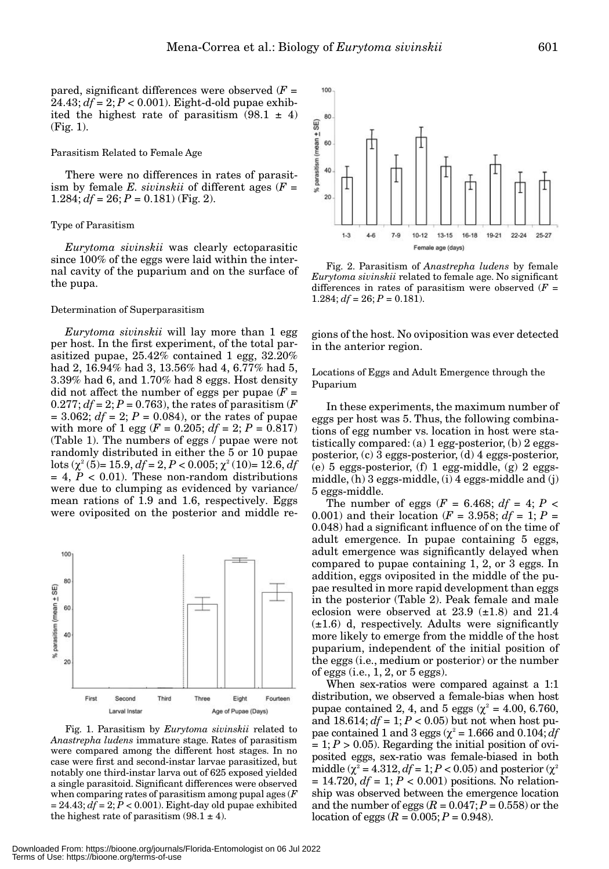pared, significant differences were observed  $(F =$  $24.43; df = 2; P < 0.001$ ). Eight-d-old pupae exhibited the highest rate of parasitism  $(98.1 \pm 4)$ (Fig. 1).

# Parasitism Related to Female Age

There were no differences in rates of parasitism by female *E. sivinskii* of different ages  $(F =$ 1.284;  $df = 26$ ;  $P = 0.181$ ) (Fig. 2).

# Type of Parasitism

*Eurytoma sivinskii* was clearly ectoparasitic since 100% of the eggs were laid within the internal cavity of the puparium and on the surface of the pupa.

## Determination of Superparasitism

*Eurytoma sivinskii* will lay more than 1 egg per host. In the first experiment, of the total parasitized pupae, 25.42% contained 1 egg, 32.20% had 2, 16.94% had 3, 13.56% had 4, 6.77% had 5, 3.39% had 6, and 1.70% had 8 eggs. Host density did not affect the number of eggs per pupae  $(F =$  $0.277$ ;  $df = 2$ ;  $P = 0.763$ ), the rates of parasitism (*F*  $= 3.062$ ; *df* = 2; *P* = 0.084), or the rates of pupae with more of 1 egg ( $F = 0.205$ ;  $df = 2$ ;  $P = 0.817$ ) (Table 1). The numbers of eggs / pupae were not randomly distributed in either the 5 or 10 pupae lots  $(\chi^2 (5) = 15.9, df = 2, P < 0.005; \chi^2 (10) = 12.6, df$  $= 4, P < 0.01$ ). These non-random distributions were due to clumping as evidenced by variance/ mean rations of 1.9 and 1.6, respectively. Eggs were oviposited on the posterior and middle re-



Fig. 1. Parasitism by *Eurytoma sivinskii* related to *Anastrepha ludens* immature stage. Rates of parasitism were compared among the different host stages. In no case were first and second-instar larvae parasitized, but notably one third-instar larva out of 625 exposed yielded a single parasitoid. Significant differences were observed when comparing rates of parasitism among pupal ages (*F*  $= 24.43$ ;  $df = 2$ ;  $\dot{P} < 0.001$ ). Eight-day old pupae exhibited the highest rate of parasitism  $(98.1 \pm 4)$ .



Fig. 2. Parasitism of *Anastrepha ludens* by female *Eurytoma sivinskii* related to female age. No significant differences in rates of parasitism were observed  $(F =$ 1.284;  $df = 26$ ;  $P = 0.181$ ).

gions of the host. No oviposition was ever detected in the anterior region.

Locations of Eggs and Adult Emergence through the Puparium

In these experiments, the maximum number of eggs per host was 5. Thus, the following combinations of egg number vs. location in host were statistically compared: (a) 1 egg-posterior, (b) 2 eggsposterior, (c) 3 eggs-posterior, (d) 4 eggs-posterior, (e) 5 eggs-posterior, (f) 1 egg-middle, (g) 2 eggsmiddle, (h) 3 eggs-middle, (i) 4 eggs-middle and (j) 5 eggs-middle.

The number of eggs  $(F = 6.468; df = 4; P <$ 0.001) and their location ( $F = 3.958$ ;  $df = 1$ ;  $P =$ 0.048) had a significant influence of on the time of adult emergence. In pupae containing 5 eggs, adult emergence was significantly delayed when compared to pupae containing 1, 2, or 3 eggs. In addition, eggs oviposited in the middle of the pupae resulted in more rapid development than eggs in the posterior (Table 2). Peak female and male eclosion were observed at  $23.9$   $(\pm 1.8)$  and  $21.4$  $(\pm 1.6)$  d, respectively. Adults were significantly more likely to emerge from the middle of the host puparium, independent of the initial position of the eggs (i.e., medium or posterior) or the number of eggs  $(i.e., 1, 2, or 5 e g g s)$ .

When sex-ratios were compared against a 1:1 distribution, we observed a female-bias when host pupae contained 2, 4, and 5 eggs ( $\chi^2$  = 4.00, 6.760, and  $18.614$ ;  $df = 1$ ;  $P < 0.05$ ) but not when host pupae contained 1 and 3 eggs ( $\chi^2$  = 1.666 and 0.104;  $df$  $= 1; P > 0.05$ ). Regarding the initial position of oviposited eggs, sex-ratio was female-biased in both middle ( $\chi^2$  = 4.312, *df* = 1; *P* < 0.05) and posterior ( $\chi^2$  $= 14.720, df = 1; P < 0.001$  positions. No relationship was observed between the emergence location and the number of eggs  $(R = 0.047; P = 0.558)$  or the location of eggs  $(R = 0.005; P = 0.948)$ .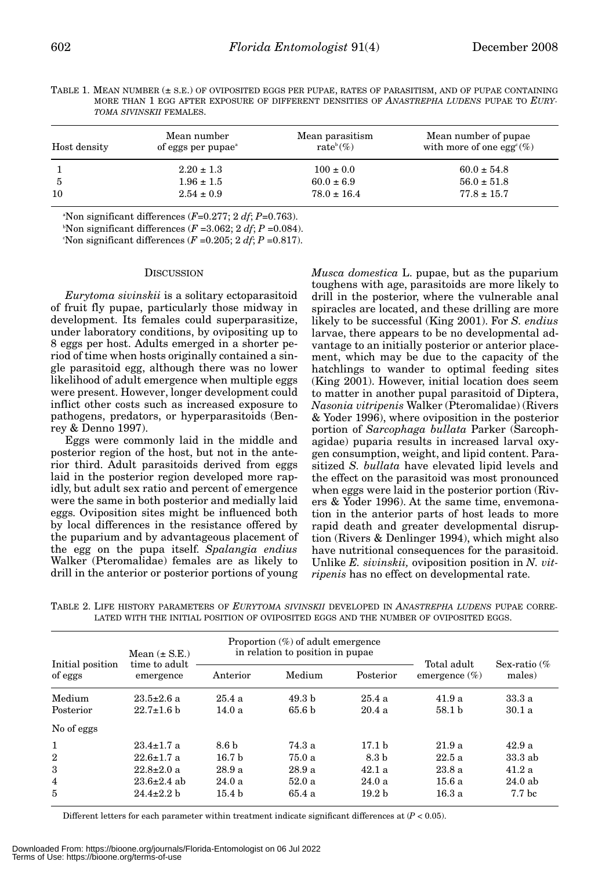| TABLE 1. MEAN NUMBER (± S.E.) OF OVIPOSITED EGGS PER PUPAE. RATES OF PARASITISM. AND OF PUPAE CONTAINING |  |  |  |  |  |  |  |
|----------------------------------------------------------------------------------------------------------|--|--|--|--|--|--|--|
| MORE THAN 1 EGG AFTER EXPOSURE OF DIFFERENT DENSITIES OF ANASTREPHA LUDENS PUPAE TO EURY-                |  |  |  |  |  |  |  |
| <i>TOMA SIVINSKII</i> FEMALES.                                                                           |  |  |  |  |  |  |  |

| Host density | Mean number<br>of eggs per pupae <sup>a</sup> | Mean parasitism<br>rate <sup>b</sup> $(\%)$ | Mean number of pupae<br>with more of one egg <sup><math>c</math></sup> (%) |
|--------------|-----------------------------------------------|---------------------------------------------|----------------------------------------------------------------------------|
|              | $2.20 \pm 1.3$                                | $100 \pm 0.0$                               | $60.0 \pm 54.8$                                                            |
| -5           | $1.96 \pm 1.5$                                | $60.0 \pm 6.9$                              | $56.0 \pm 51.8$                                                            |
| 10           | $2.54 \pm 0.9$                                | $78.0 \pm 16.4$                             | $77.8 \pm 15.7$                                                            |

a Non significant differences (*F*=0.277; 2 *df*; *P*=0.763).

<sup>b</sup>Non significant differences  $(F = 3.062; 2 df; P = 0.084)$ .

'Non significant differences  $(F = 0.205; 2 df; P = 0.817)$ .

#### **DISCUSSION**

*Eurytoma sivinskii* is a solitary ectoparasitoid of fruit fly pupae, particularly those midway in development. Its females could superparasitize, under laboratory conditions, by ovipositing up to 8 eggs per host. Adults emerged in a shorter period of time when hosts originally contained a single parasitoid egg, although there was no lower likelihood of adult emergence when multiple eggs were present. However, longer development could inflict other costs such as increased exposure to pathogens, predators, or hyperparasitoids (Benrey & Denno 1997).

Eggs were commonly laid in the middle and posterior region of the host, but not in the anterior third. Adult parasitoids derived from eggs laid in the posterior region developed more rapidly, but adult sex ratio and percent of emergence were the same in both posterior and medially laid eggs. Oviposition sites might be influenced both by local differences in the resistance offered by the puparium and by advantageous placement of the egg on the pupa itself. *Spalangia endius* Walker (Pteromalidae) females are as likely to drill in the anterior or posterior portions of young

*Musca domestica* L. pupae, but as the puparium toughens with age, parasitoids are more likely to drill in the posterior, where the vulnerable anal spiracles are located, and these drilling are more likely to be successful (King 2001). For *S. endius* larvae, there appears to be no developmental advantage to an initially posterior or anterior placement, which may be due to the capacity of the hatchlings to wander to optimal feeding sites (King 2001). However, initial location does seem to matter in another pupal parasitoid of Diptera, *Nasonia vitripenis* Walker (Pteromalidae) (Rivers & Yoder 1996), where oviposition in the posterior portion of *Sarcophaga bullata* Parker (Sarcophagidae) puparia results in increased larval oxygen consumption, weight, and lipid content. Parasitized *S. bullata* have elevated lipid levels and the effect on the parasitoid was most pronounced when eggs were laid in the posterior portion (Rivers & Yoder 1996). At the same time, envemonation in the anterior parts of host leads to more rapid death and greater developmental disruption (Rivers & Denlinger 1994), which might also have nutritional consequences for the parasitoid. Unlike *E. sivinskii,* oviposition position in *N. vitripenis* has no effect on developmental rate.

|                             | Mean $(\pm$ S.E.)          |                   | Proportion $(\%)$ of adult emergence<br>in relation to position in pupae. |                   |                                 |                          |  |
|-----------------------------|----------------------------|-------------------|---------------------------------------------------------------------------|-------------------|---------------------------------|--------------------------|--|
| Initial position<br>of eggs | time to adult<br>emergence | Anterior          | Medium                                                                    | Posterior         | Total adult<br>emergence $(\%)$ | Sex-ratio $\%$<br>males) |  |
| Medium                      | $23.5 \pm 2.6$ a           | 25.4a             | 49.3 h                                                                    | 25.4a             | 41.9a                           | 33.3a                    |  |
| Posterior                   | $22.7 \pm 1.6$ b           | 14.0a             | 65.6 b                                                                    | 20.4a             | 58.1 <sub>b</sub>               | 30.1a                    |  |
| No of eggs                  |                            |                   |                                                                           |                   |                                 |                          |  |
| -1                          | $23.4 \pm 1.7$ a           | 8.6 <sub>b</sub>  | 74.3 a                                                                    | 17.1 <sub>b</sub> | 21.9a                           | 42.9a                    |  |
| $\overline{2}$              | $22.6 \pm 1.7$ a           | 16.7 <sub>b</sub> | 75.0 a                                                                    | 8.3 b             | 22.5a                           | 33.3ab                   |  |
| 3                           | $22.8 \pm 2.0$ a           | 28.9a             | 28.9a                                                                     | 42.1a             | 23.8a                           | 41.2a                    |  |
| $\overline{4}$              | $23.6 \pm 2.4$ ab          | 24.0a             | 52.0a                                                                     | 24.0a             | 15.6 a                          | 24.0ab                   |  |
| 5                           | $24.4 \pm 2.2 h$           | 15.4 <sub>b</sub> | 65.4 a                                                                    | 19.2 <sub>b</sub> | 16.3a                           | 7.7 <sub>bc</sub>        |  |

TABLE 2. LIFE HISTORY PARAMETERS OF *EURYTOMA SIVINSKII* DEVELOPED IN *ANASTREPHA LUDENS* PUPAE CORRE-LATED WITH THE INITIAL POSITION OF OVIPOSITED EGGS AND THE NUMBER OF OVIPOSITED EGGS.

Different letters for each parameter within treatment indicate significant differences at (*P* < 0.05).